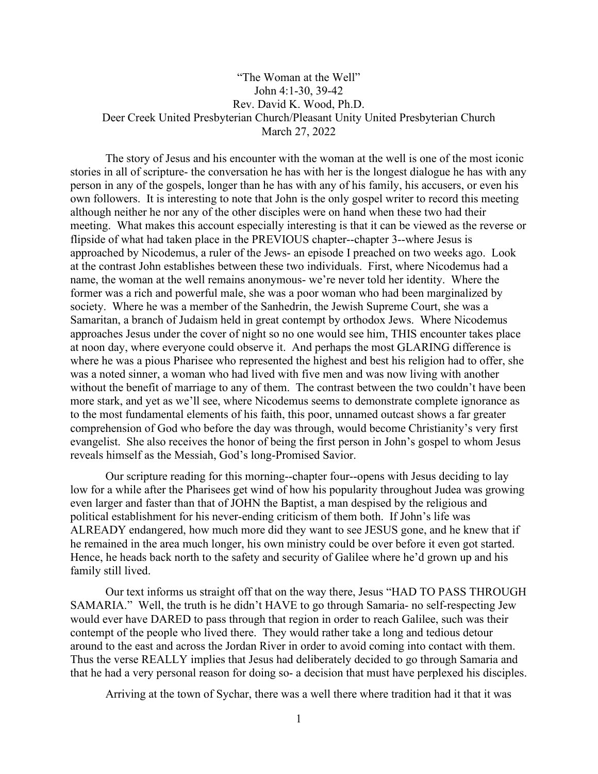## "The Woman at the Well" John 4:1-30, 39-42 Rev. David K. Wood, Ph.D. Deer Creek United Presbyterian Church/Pleasant Unity United Presbyterian Church March 27, 2022

The story of Jesus and his encounter with the woman at the well is one of the most iconic stories in all of scripture- the conversation he has with her is the longest dialogue he has with any person in any of the gospels, longer than he has with any of his family, his accusers, or even his own followers. It is interesting to note that John is the only gospel writer to record this meeting although neither he nor any of the other disciples were on hand when these two had their meeting. What makes this account especially interesting is that it can be viewed as the reverse or flipside of what had taken place in the PREVIOUS chapter--chapter 3--where Jesus is approached by Nicodemus, a ruler of the Jews- an episode I preached on two weeks ago. Look at the contrast John establishes between these two individuals. First, where Nicodemus had a name, the woman at the well remains anonymous- we're never told her identity. Where the former was a rich and powerful male, she was a poor woman who had been marginalized by society. Where he was a member of the Sanhedrin, the Jewish Supreme Court, she was a Samaritan, a branch of Judaism held in great contempt by orthodox Jews. Where Nicodemus approaches Jesus under the cover of night so no one would see him, THIS encounter takes place at noon day, where everyone could observe it. And perhaps the most GLARING difference is where he was a pious Pharisee who represented the highest and best his religion had to offer, she was a noted sinner, a woman who had lived with five men and was now living with another without the benefit of marriage to any of them. The contrast between the two couldn't have been more stark, and yet as we'll see, where Nicodemus seems to demonstrate complete ignorance as to the most fundamental elements of his faith, this poor, unnamed outcast shows a far greater comprehension of God who before the day was through, would become Christianity's very first evangelist. She also receives the honor of being the first person in John's gospel to whom Jesus reveals himself as the Messiah, God's long-Promised Savior.

Our scripture reading for this morning--chapter four--opens with Jesus deciding to lay low for a while after the Pharisees get wind of how his popularity throughout Judea was growing even larger and faster than that of JOHN the Baptist, a man despised by the religious and political establishment for his never-ending criticism of them both. If John's life was ALREADY endangered, how much more did they want to see JESUS gone, and he knew that if he remained in the area much longer, his own ministry could be over before it even got started. Hence, he heads back north to the safety and security of Galilee where he'd grown up and his family still lived.

Our text informs us straight off that on the way there, Jesus "HAD TO PASS THROUGH SAMARIA." Well, the truth is he didn't HAVE to go through Samaria- no self-respecting Jew would ever have DARED to pass through that region in order to reach Galilee, such was their contempt of the people who lived there. They would rather take a long and tedious detour around to the east and across the Jordan River in order to avoid coming into contact with them. Thus the verse REALLY implies that Jesus had deliberately decided to go through Samaria and that he had a very personal reason for doing so- a decision that must have perplexed his disciples.

Arriving at the town of Sychar, there was a well there where tradition had it that it was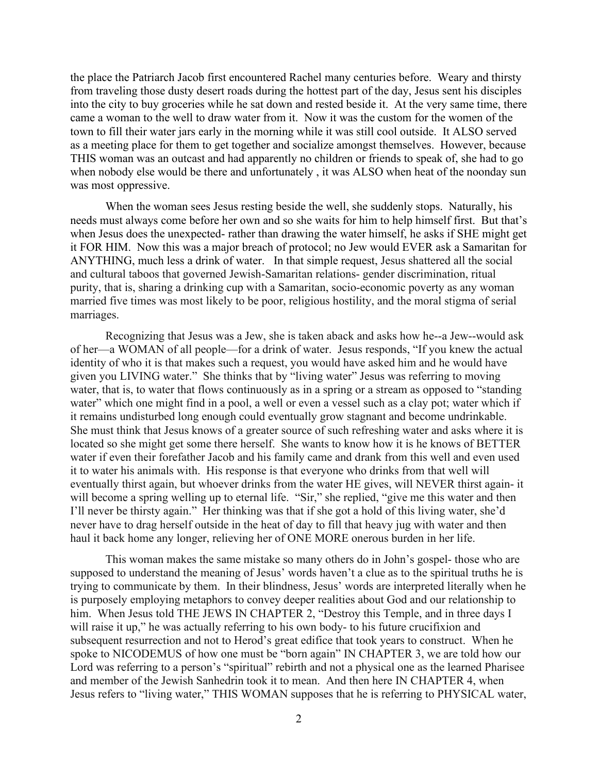the place the Patriarch Jacob first encountered Rachel many centuries before. Weary and thirsty from traveling those dusty desert roads during the hottest part of the day, Jesus sent his disciples into the city to buy groceries while he sat down and rested beside it. At the very same time, there came a woman to the well to draw water from it. Now it was the custom for the women of the town to fill their water jars early in the morning while it was still cool outside. It ALSO served as a meeting place for them to get together and socialize amongst themselves. However, because THIS woman was an outcast and had apparently no children or friends to speak of, she had to go when nobody else would be there and unfortunately , it was ALSO when heat of the noonday sun was most oppressive.

When the woman sees Jesus resting beside the well, she suddenly stops. Naturally, his needs must always come before her own and so she waits for him to help himself first. But that's when Jesus does the unexpected- rather than drawing the water himself, he asks if SHE might get it FOR HIM. Now this was a major breach of protocol; no Jew would EVER ask a Samaritan for ANYTHING, much less a drink of water. In that simple request, Jesus shattered all the social and cultural taboos that governed Jewish-Samaritan relations- gender discrimination, ritual purity, that is, sharing a drinking cup with a Samaritan, socio-economic poverty as any woman married five times was most likely to be poor, religious hostility, and the moral stigma of serial marriages.

Recognizing that Jesus was a Jew, she is taken aback and asks how he--a Jew--would ask of her—a WOMAN of all people—for a drink of water. Jesus responds, "If you knew the actual identity of who it is that makes such a request, you would have asked him and he would have given you LIVING water." She thinks that by "living water" Jesus was referring to moving water, that is, to water that flows continuously as in a spring or a stream as opposed to "standing" water" which one might find in a pool, a well or even a vessel such as a clay pot; water which if it remains undisturbed long enough could eventually grow stagnant and become undrinkable. She must think that Jesus knows of a greater source of such refreshing water and asks where it is located so she might get some there herself. She wants to know how it is he knows of BETTER water if even their forefather Jacob and his family came and drank from this well and even used it to water his animals with. His response is that everyone who drinks from that well will eventually thirst again, but whoever drinks from the water HE gives, will NEVER thirst again- it will become a spring welling up to eternal life. "Sir," she replied, "give me this water and then I'll never be thirsty again." Her thinking was that if she got a hold of this living water, she'd never have to drag herself outside in the heat of day to fill that heavy jug with water and then haul it back home any longer, relieving her of ONE MORE onerous burden in her life.

This woman makes the same mistake so many others do in John's gospel- those who are supposed to understand the meaning of Jesus' words haven't a clue as to the spiritual truths he is trying to communicate by them. In their blindness, Jesus' words are interpreted literally when he is purposely employing metaphors to convey deeper realities about God and our relationship to him. When Jesus told THE JEWS IN CHAPTER 2, "Destroy this Temple, and in three days I will raise it up," he was actually referring to his own body- to his future crucifixion and subsequent resurrection and not to Herod's great edifice that took years to construct. When he spoke to NICODEMUS of how one must be "born again" IN CHAPTER 3, we are told how our Lord was referring to a person's "spiritual" rebirth and not a physical one as the learned Pharisee and member of the Jewish Sanhedrin took it to mean. And then here IN CHAPTER 4, when Jesus refers to "living water," THIS WOMAN supposes that he is referring to PHYSICAL water,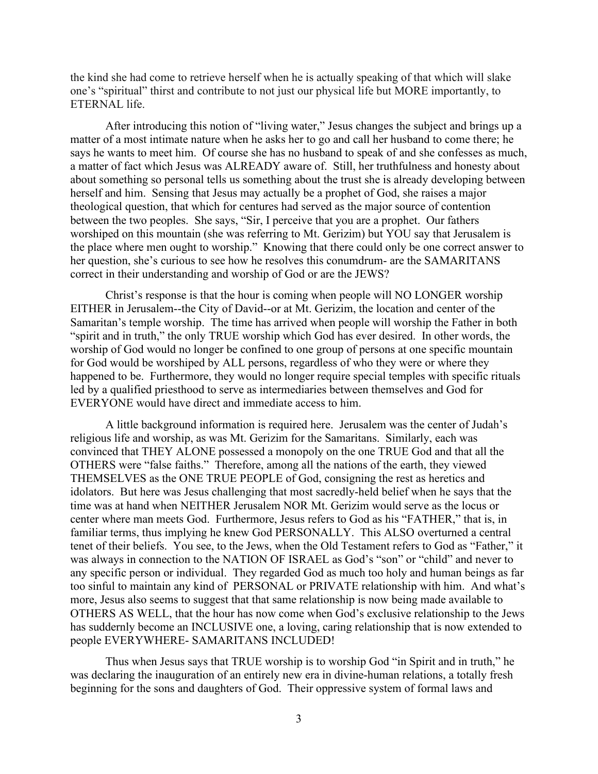the kind she had come to retrieve herself when he is actually speaking of that which will slake one's "spiritual" thirst and contribute to not just our physical life but MORE importantly, to ETERNAL life.

After introducing this notion of "living water," Jesus changes the subject and brings up a matter of a most intimate nature when he asks her to go and call her husband to come there; he says he wants to meet him. Of course she has no husband to speak of and she confesses as much, a matter of fact which Jesus was ALREADY aware of. Still, her truthfulness and honesty about about something so personal tells us something about the trust she is already developing between herself and him. Sensing that Jesus may actually be a prophet of God, she raises a major theological question, that which for centures had served as the major source of contention between the two peoples. She says, "Sir, I perceive that you are a prophet. Our fathers worshiped on this mountain (she was referring to Mt. Gerizim) but YOU say that Jerusalem is the place where men ought to worship." Knowing that there could only be one correct answer to her question, she's curious to see how he resolves this conumdrum- are the SAMARITANS correct in their understanding and worship of God or are the JEWS?

Christ's response is that the hour is coming when people will NO LONGER worship EITHER in Jerusalem--the City of David--or at Mt. Gerizim, the location and center of the Samaritan's temple worship. The time has arrived when people will worship the Father in both "spirit and in truth," the only TRUE worship which God has ever desired. In other words, the worship of God would no longer be confined to one group of persons at one specific mountain for God would be worshiped by ALL persons, regardless of who they were or where they happened to be. Furthermore, they would no longer require special temples with specific rituals led by a qualified priesthood to serve as intermediaries between themselves and God for EVERYONE would have direct and immediate access to him.

A little background information is required here. Jerusalem was the center of Judah's religious life and worship, as was Mt. Gerizim for the Samaritans. Similarly, each was convinced that THEY ALONE possessed a monopoly on the one TRUE God and that all the OTHERS were "false faiths." Therefore, among all the nations of the earth, they viewed THEMSELVES as the ONE TRUE PEOPLE of God, consigning the rest as heretics and idolators. But here was Jesus challenging that most sacredly-held belief when he says that the time was at hand when NEITHER Jerusalem NOR Mt. Gerizim would serve as the locus or center where man meets God. Furthermore, Jesus refers to God as his "FATHER," that is, in familiar terms, thus implying he knew God PERSONALLY. This ALSO overturned a central tenet of their beliefs. You see, to the Jews, when the Old Testament refers to God as "Father," it was always in connection to the NATION OF ISRAEL as God's "son" or "child" and never to any specific person or individual. They regarded God as much too holy and human beings as far too sinful to maintain any kind of PERSONAL or PRIVATE relationship with him. And what's more, Jesus also seems to suggest that that same relationship is now being made available to OTHERS AS WELL, that the hour has now come when God's exclusive relationship to the Jews has suddernly become an INCLUSIVE one, a loving, caring relationship that is now extended to people EVERYWHERE- SAMARITANS INCLUDED!

Thus when Jesus says that TRUE worship is to worship God "in Spirit and in truth," he was declaring the inauguration of an entirely new era in divine-human relations, a totally fresh beginning for the sons and daughters of God. Their oppressive system of formal laws and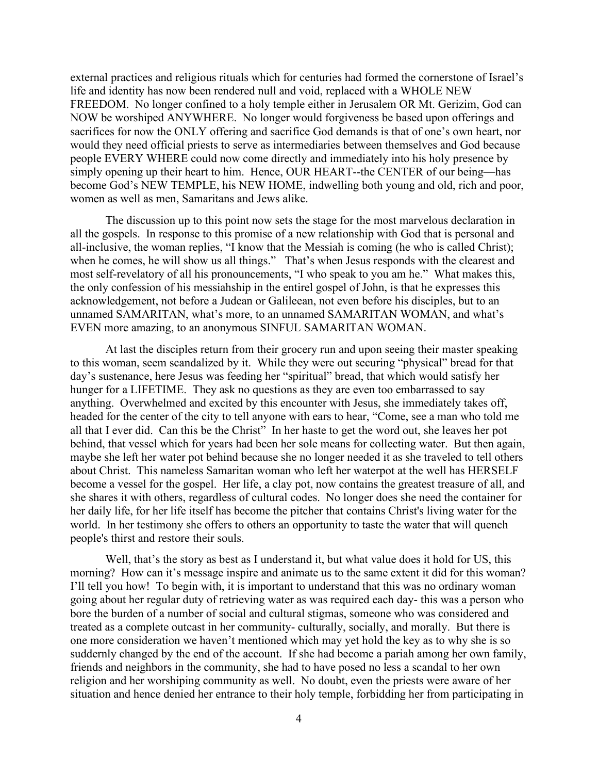external practices and religious rituals which for centuries had formed the cornerstone of Israel's life and identity has now been rendered null and void, replaced with a WHOLE NEW FREEDOM. No longer confined to a holy temple either in Jerusalem OR Mt. Gerizim, God can NOW be worshiped ANYWHERE. No longer would forgiveness be based upon offerings and sacrifices for now the ONLY offering and sacrifice God demands is that of one's own heart, nor would they need official priests to serve as intermediaries between themselves and God because people EVERY WHERE could now come directly and immediately into his holy presence by simply opening up their heart to him. Hence, OUR HEART--the CENTER of our being—has become God's NEW TEMPLE, his NEW HOME, indwelling both young and old, rich and poor, women as well as men, Samaritans and Jews alike.

The discussion up to this point now sets the stage for the most marvelous declaration in all the gospels. In response to this promise of a new relationship with God that is personal and all-inclusive, the woman replies, "I know that the Messiah is coming (he who is called Christ); when he comes, he will show us all things." That's when Jesus responds with the clearest and most self-revelatory of all his pronouncements, "I who speak to you am he." What makes this, the only confession of his messiahship in the entirel gospel of John, is that he expresses this acknowledgement, not before a Judean or Galileean, not even before his disciples, but to an unnamed SAMARITAN, what's more, to an unnamed SAMARITAN WOMAN, and what's EVEN more amazing, to an anonymous SINFUL SAMARITAN WOMAN.

At last the disciples return from their grocery run and upon seeing their master speaking to this woman, seem scandalized by it. While they were out securing "physical" bread for that day's sustenance, here Jesus was feeding her "spiritual" bread, that which would satisfy her hunger for a LIFETIME. They ask no questions as they are even too embarrassed to say anything. Overwhelmed and excited by this encounter with Jesus, she immediately takes off, headed for the center of the city to tell anyone with ears to hear, "Come, see a man who told me all that I ever did. Can this be the Christ" In her haste to get the word out, she leaves her pot behind, that vessel which for years had been her sole means for collecting water. But then again, maybe she left her water pot behind because she no longer needed it as she traveled to tell others about Christ. This nameless Samaritan woman who left her waterpot at the well has HERSELF become a vessel for the gospel. Her life, a clay pot, now contains the greatest treasure of all, and she shares it with others, regardless of cultural codes. No longer does she need the container for her daily life, for her life itself has become the pitcher that contains Christ's living water for the world. In her testimony she offers to others an opportunity to taste the water that will quench people's thirst and restore their souls.

Well, that's the story as best as I understand it, but what value does it hold for US, this morning? How can it's message inspire and animate us to the same extent it did for this woman? I'll tell you how! To begin with, it is important to understand that this was no ordinary woman going about her regular duty of retrieving water as was required each day- this was a person who bore the burden of a number of social and cultural stigmas, someone who was considered and treated as a complete outcast in her community- culturally, socially, and morally. But there is one more consideration we haven't mentioned which may yet hold the key as to why she is so suddernly changed by the end of the account. If she had become a pariah among her own family, friends and neighbors in the community, she had to have posed no less a scandal to her own religion and her worshiping community as well. No doubt, even the priests were aware of her situation and hence denied her entrance to their holy temple, forbidding her from participating in